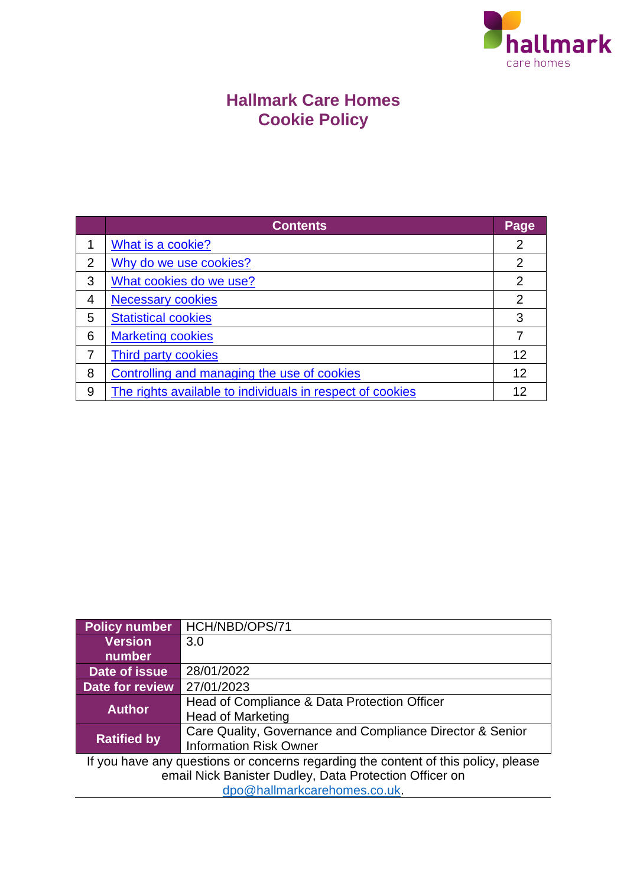

# **Hallmark Care Homes Cookie Policy**

|   | <b>Contents</b>                                           | Page           |
|---|-----------------------------------------------------------|----------------|
|   | What is a cookie?                                         | 2              |
| 2 | Why do we use cookies?                                    | $\overline{2}$ |
| 3 | What cookies do we use?                                   | $\mathcal{P}$  |
| 4 | <b>Necessary cookies</b>                                  | $\overline{2}$ |
| 5 | <b>Statistical cookies</b>                                | 3              |
| 6 | <b>Marketing cookies</b>                                  |                |
|   | Third party cookies                                       | 12             |
| 8 | Controlling and managing the use of cookies               | 12             |
| 9 | The rights available to individuals in respect of cookies | 12             |

| <b>Policy number</b>                                   | HCH/NBD/OPS/71                                                                     |  |  |
|--------------------------------------------------------|------------------------------------------------------------------------------------|--|--|
| <b>Version</b>                                         | 3.0                                                                                |  |  |
| number                                                 |                                                                                    |  |  |
| Date of issue                                          | 28/01/2022                                                                         |  |  |
| <b>Date for review</b>                                 | 27/01/2023                                                                         |  |  |
| <b>Author</b>                                          | Head of Compliance & Data Protection Officer                                       |  |  |
|                                                        | <b>Head of Marketing</b>                                                           |  |  |
|                                                        | Care Quality, Governance and Compliance Director & Senior                          |  |  |
| <b>Ratified by</b>                                     | <b>Information Risk Owner</b>                                                      |  |  |
|                                                        | If you have any questions or concerns regarding the content of this policy, please |  |  |
| email Nick Banister Dudley, Data Protection Officer on |                                                                                    |  |  |
|                                                        | dpo@hallmarkcarehomes.co.uk.                                                       |  |  |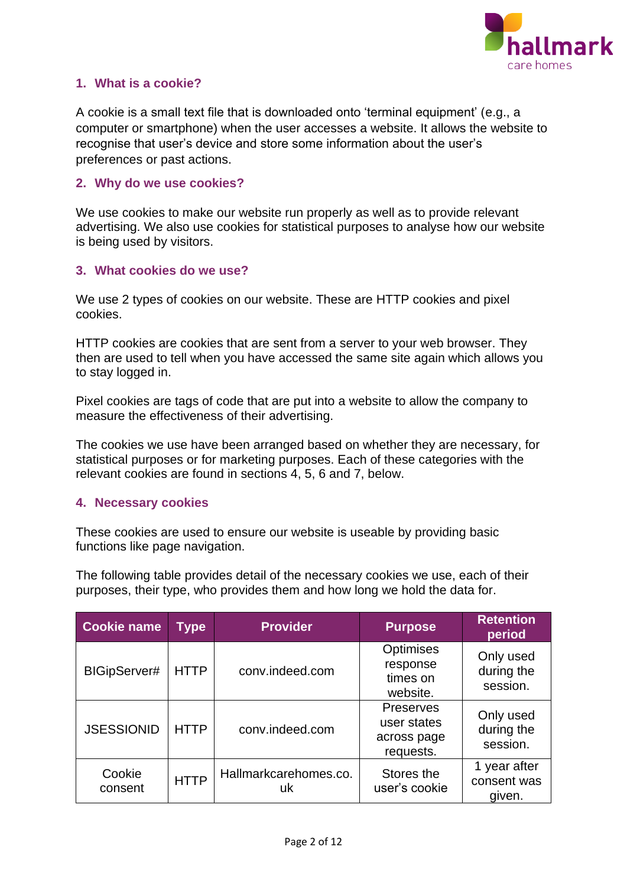

## <span id="page-1-0"></span>**1. What is a cookie?**

A cookie is a small text file that is downloaded onto 'terminal equipment' (e.g., a computer or smartphone) when the user accesses a website. It allows the website to recognise that user's device and store some information about the user's preferences or past actions.

#### <span id="page-1-1"></span>**2. Why do we use cookies?**

We use cookies to make our website run properly as well as to provide relevant advertising. We also use cookies for statistical purposes to analyse how our website is being used by visitors.

#### <span id="page-1-2"></span>**3. What cookies do we use?**

We use 2 types of cookies on our website. These are HTTP cookies and pixel cookies.

HTTP cookies are cookies that are sent from a server to your web browser. They then are used to tell when you have accessed the same site again which allows you to stay logged in.

Pixel cookies are tags of code that are put into a website to allow the company to measure the effectiveness of their advertising.

The cookies we use have been arranged based on whether they are necessary, for statistical purposes or for marketing purposes. Each of these categories with the relevant cookies are found in sections 4, 5, 6 and 7, below.

#### <span id="page-1-3"></span>**4. Necessary cookies**

These cookies are used to ensure our website is useable by providing basic functions like page navigation.

The following table provides detail of the necessary cookies we use, each of their purposes, their type, who provides them and how long we hold the data for.

| <b>Cookie name</b>  | <b>Type</b> | <b>Provider</b>             | <b>Purpose</b>                                              | <b>Retention</b><br>period            |
|---------------------|-------------|-----------------------------|-------------------------------------------------------------|---------------------------------------|
| <b>BIGipServer#</b> | <b>HTTP</b> | conv.indeed.com             | Optimises<br>response<br>times on<br>website.               | Only used<br>during the<br>session.   |
| <b>JSESSIONID</b>   | <b>HTTP</b> | conv.indeed.com             | <b>Preserves</b><br>user states<br>across page<br>requests. | Only used<br>during the<br>session.   |
| Cookie<br>consent   | <b>HTTP</b> | Hallmarkcarehomes.co.<br>uk | Stores the<br>user's cookie                                 | 1 year after<br>consent was<br>given. |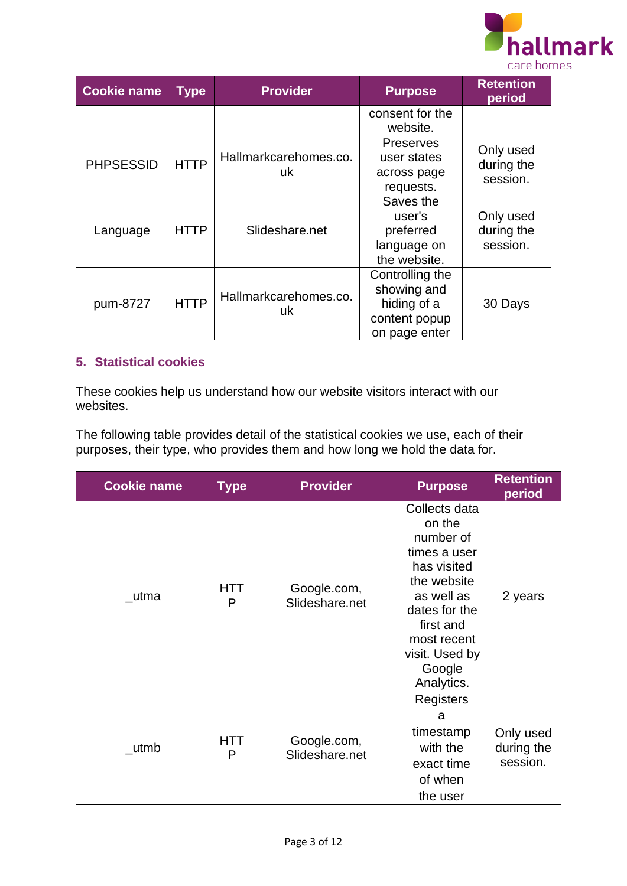

| <b>Cookie name</b> | <b>Type</b> | <b>Provider</b>             | <b>Purpose</b>                                                                  | <b>Retention</b><br>period          |
|--------------------|-------------|-----------------------------|---------------------------------------------------------------------------------|-------------------------------------|
|                    |             |                             | consent for the<br>website.                                                     |                                     |
| <b>PHPSESSID</b>   | <b>HTTP</b> | Hallmarkcarehomes.co.<br>uk | <b>Preserves</b><br>user states<br>across page<br>requests.                     | Only used<br>during the<br>session. |
| Language           | <b>HTTP</b> | Slideshare.net              | Saves the<br>user's<br>preferred<br>language on<br>the website.                 | Only used<br>during the<br>session. |
| pum-8727           | <b>HTTP</b> | Hallmarkcarehomes.co.<br>uk | Controlling the<br>showing and<br>hiding of a<br>content popup<br>on page enter | 30 Days                             |

## <span id="page-2-0"></span>**5. Statistical cookies**

These cookies help us understand how our website visitors interact with our websites.

The following table provides detail of the statistical cookies we use, each of their purposes, their type, who provides them and how long we hold the data for.

| <b>Cookie name</b> | <b>Type</b>     | <b>Provider</b>               | <b>Purpose</b>                                                                                                                                                                          | <b>Retention</b><br>period          |
|--------------------|-----------------|-------------------------------|-----------------------------------------------------------------------------------------------------------------------------------------------------------------------------------------|-------------------------------------|
| _utma              | <b>HTT</b><br>P | Google.com,<br>Slideshare.net | Collects data<br>on the<br>number of<br>times a user<br>has visited<br>the website<br>as well as<br>dates for the<br>first and<br>most recent<br>visit. Used by<br>Google<br>Analytics. | 2 years                             |
| utmb               | <b>HTT</b><br>P | Google.com,<br>Slideshare.net | Registers<br>a<br>timestamp<br>with the<br>exact time<br>of when<br>the user                                                                                                            | Only used<br>during the<br>session. |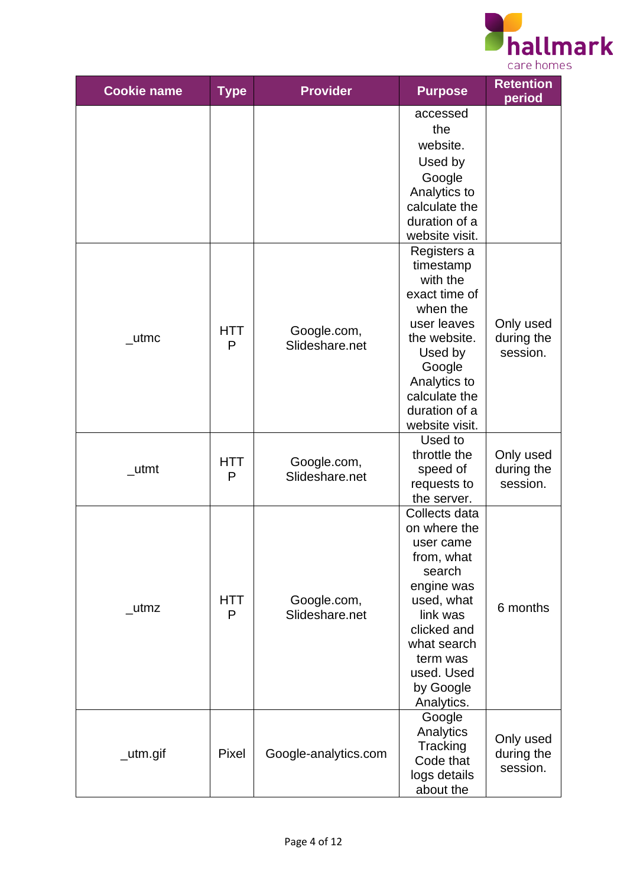

| <b>Cookie name</b> | <b>Type</b>     | <b>Provider</b>               | <b>Purpose</b>                                                                                                                                                                                | <b>Retention</b><br>period          |
|--------------------|-----------------|-------------------------------|-----------------------------------------------------------------------------------------------------------------------------------------------------------------------------------------------|-------------------------------------|
|                    |                 |                               | accessed<br>the<br>website.<br>Used by<br>Google<br>Analytics to<br>calculate the                                                                                                             |                                     |
|                    |                 |                               | duration of a<br>website visit.<br>Registers a<br>timestamp<br>with the                                                                                                                       |                                     |
| utmc               | <b>HTT</b><br>P | Google.com,<br>Slideshare.net | exact time of<br>when the<br>user leaves<br>the website.<br>Used by<br>Google<br>Analytics to<br>calculate the<br>duration of a<br>website visit.                                             | Only used<br>during the<br>session. |
| _utmt              | <b>HTT</b><br>P | Google.com,<br>Slideshare.net | Used to<br>throttle the<br>speed of<br>requests to<br>the server.                                                                                                                             | Only used<br>during the<br>session. |
| $\_$ utmz          | <b>HTT</b><br>P | Google.com,<br>Slideshare.net | Collects data<br>on where the<br>user came<br>from, what<br>search<br>engine was<br>used, what<br>link was<br>clicked and<br>what search<br>term was<br>used. Used<br>by Google<br>Analytics. | 6 months                            |
| $\_$ utm.gif       | Pixel           | Google-analytics.com          | Google<br>Analytics<br>Tracking<br>Code that<br>logs details<br>about the                                                                                                                     | Only used<br>during the<br>session. |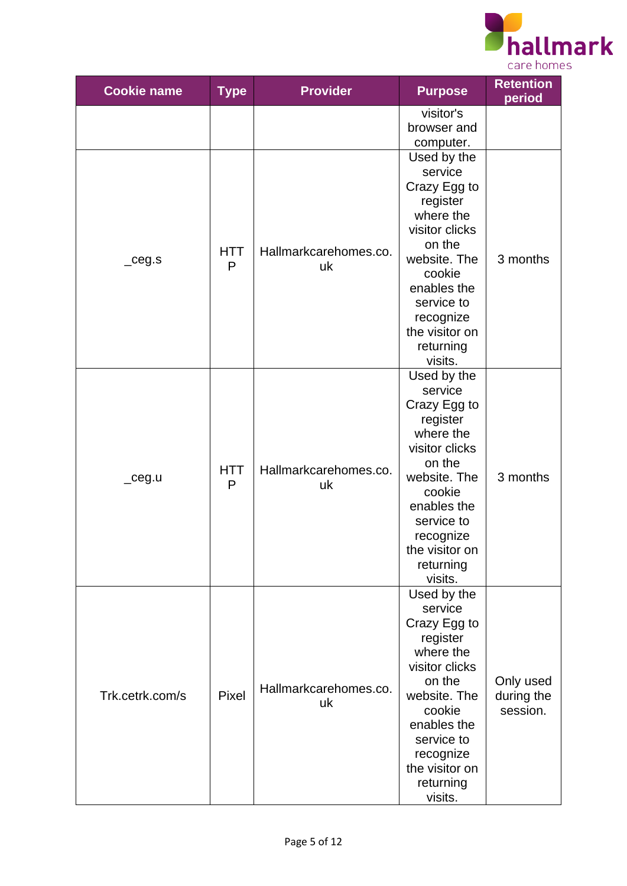

| <b>Cookie name</b> | <b>Type</b>     | <b>Provider</b>             | <b>Purpose</b>                                                                                                                                                                                            | <b>Retention</b><br>period          |
|--------------------|-----------------|-----------------------------|-----------------------------------------------------------------------------------------------------------------------------------------------------------------------------------------------------------|-------------------------------------|
|                    |                 |                             | visitor's<br>browser and<br>computer.                                                                                                                                                                     |                                     |
| $_{\rm ceg.s}$     | <b>HTT</b><br>P | Hallmarkcarehomes.co.<br>uk | Used by the<br>service<br>Crazy Egg to<br>register<br>where the<br>visitor clicks<br>on the<br>website. The<br>cookie<br>enables the<br>service to<br>recognize<br>the visitor on<br>returning<br>visits. | 3 months                            |
| _ceg.u             | <b>HTT</b><br>P | Hallmarkcarehomes.co.<br>uk | Used by the<br>service<br>Crazy Egg to<br>register<br>where the<br>visitor clicks<br>on the<br>website. The<br>cookie<br>enables the<br>service to<br>recognize<br>the visitor on<br>returning<br>visits. | 3 months                            |
| Trk.cetrk.com/s    | Pixel           | Hallmarkcarehomes.co.<br>uk | Used by the<br>service<br>Crazy Egg to<br>register<br>where the<br>visitor clicks<br>on the<br>website. The<br>cookie<br>enables the<br>service to<br>recognize<br>the visitor on<br>returning<br>visits. | Only used<br>during the<br>session. |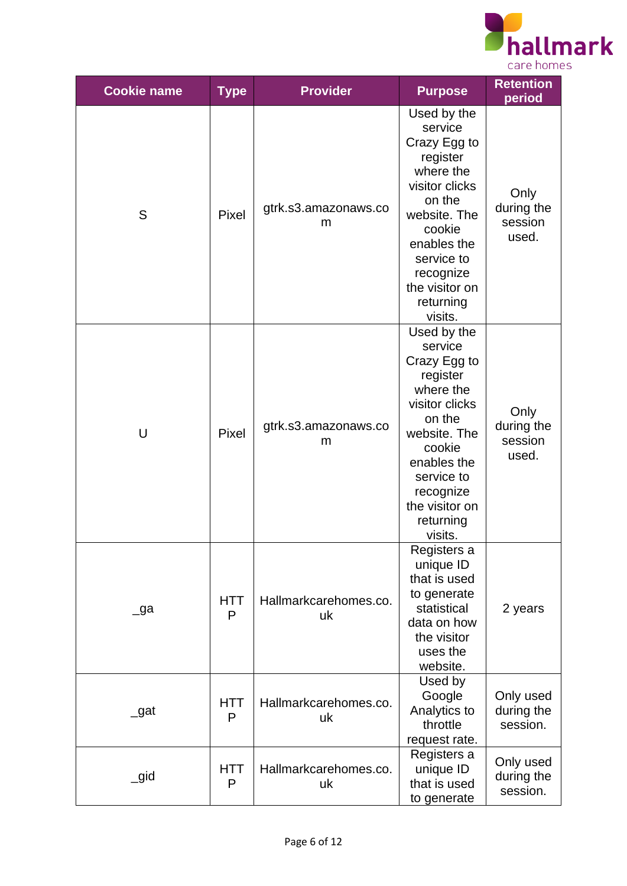

| <b>Cookie name</b> | <b>Type</b>     | <b>Provider</b>             | <b>Purpose</b>                                                                                                                                                                                            | <b>Retention</b><br>period             |
|--------------------|-----------------|-----------------------------|-----------------------------------------------------------------------------------------------------------------------------------------------------------------------------------------------------------|----------------------------------------|
| S                  | Pixel           | gtrk.s3.amazonaws.co<br>m   | Used by the<br>service<br>Crazy Egg to<br>register<br>where the<br>visitor clicks<br>on the<br>website. The<br>cookie<br>enables the<br>service to<br>recognize<br>the visitor on<br>returning<br>visits. | Only<br>during the<br>session<br>used. |
| U                  | Pixel           | gtrk.s3.amazonaws.co<br>m   | Used by the<br>service<br>Crazy Egg to<br>register<br>where the<br>visitor clicks<br>on the<br>website. The<br>cookie<br>enables the<br>service to<br>recognize<br>the visitor on<br>returning<br>visits. | Only<br>during the<br>session<br>used. |
| $\Box$ ga          | <b>HTT</b><br>P | Hallmarkcarehomes.co.<br>uk | Registers a<br>unique ID<br>that is used<br>to generate<br>statistical<br>data on how<br>the visitor<br>uses the<br>website.                                                                              | 2 years                                |
| $\_$ gat           | <b>HTT</b><br>P | Hallmarkcarehomes.co.<br>uk | Used by<br>Google<br>Analytics to<br>throttle<br>request rate.                                                                                                                                            | Only used<br>during the<br>session.    |
| _gid               | <b>HTT</b><br>P | Hallmarkcarehomes.co.<br>uk | Registers a<br>unique ID<br>that is used<br>to generate                                                                                                                                                   | Only used<br>during the<br>session.    |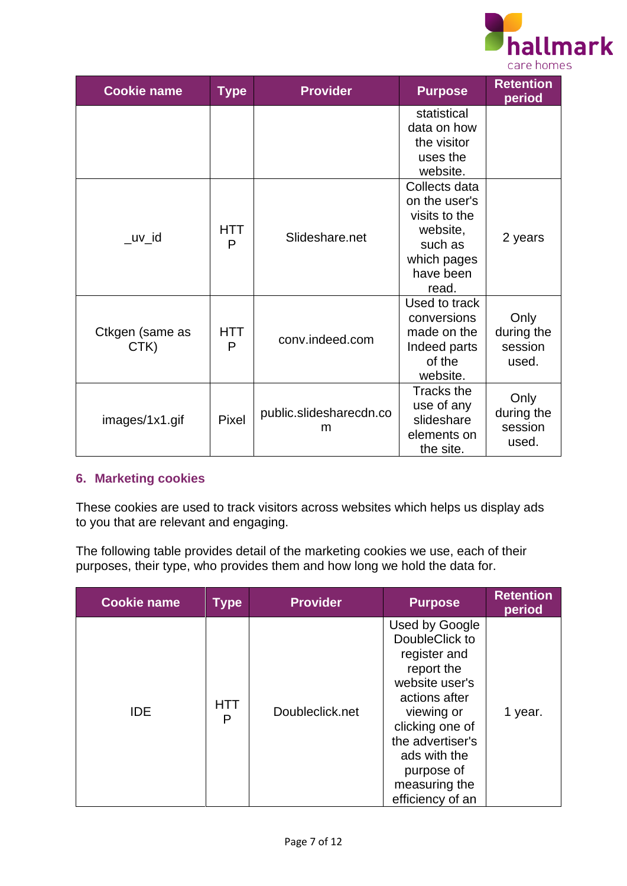

| <b>Cookie name</b>      | <b>Type</b>     | <b>Provider</b>              | <b>Purpose</b>                                                                                              | <b>Retention</b><br>period             |
|-------------------------|-----------------|------------------------------|-------------------------------------------------------------------------------------------------------------|----------------------------------------|
|                         |                 |                              | statistical<br>data on how<br>the visitor<br>uses the<br>website.                                           |                                        |
| _uv_id                  | <b>HTT</b><br>P | Slideshare.net               | Collects data<br>on the user's<br>visits to the<br>website,<br>such as<br>which pages<br>have been<br>read. | 2 years                                |
| Ctkgen (same as<br>CTK) | <b>HTT</b><br>P | conv.indeed.com              | Used to track<br>conversions<br>made on the<br>Indeed parts<br>of the<br>website.                           | Only<br>during the<br>session<br>used. |
| images/1x1.gif          | Pixel           | public.slidesharecdn.co<br>m | Tracks the<br>use of any<br>slideshare<br>elements on<br>the site.                                          | Only<br>during the<br>session<br>used. |

## <span id="page-6-0"></span>**6. Marketing cookies**

These cookies are used to track visitors across websites which helps us display ads to you that are relevant and engaging.

The following table provides detail of the marketing cookies we use, each of their purposes, their type, who provides them and how long we hold the data for.

| <b>Cookie name</b> | Type            | <b>Provider</b> | <b>Purpose</b>                                                                                                                                                                                                            | <b>Retention</b><br>period |
|--------------------|-----------------|-----------------|---------------------------------------------------------------------------------------------------------------------------------------------------------------------------------------------------------------------------|----------------------------|
| <b>IDE</b>         | <b>HTT</b><br>P | Doubleclick.net | Used by Google<br>DoubleClick to<br>register and<br>report the<br>website user's<br>actions after<br>viewing or<br>clicking one of<br>the advertiser's<br>ads with the<br>purpose of<br>measuring the<br>efficiency of an | 1 year.                    |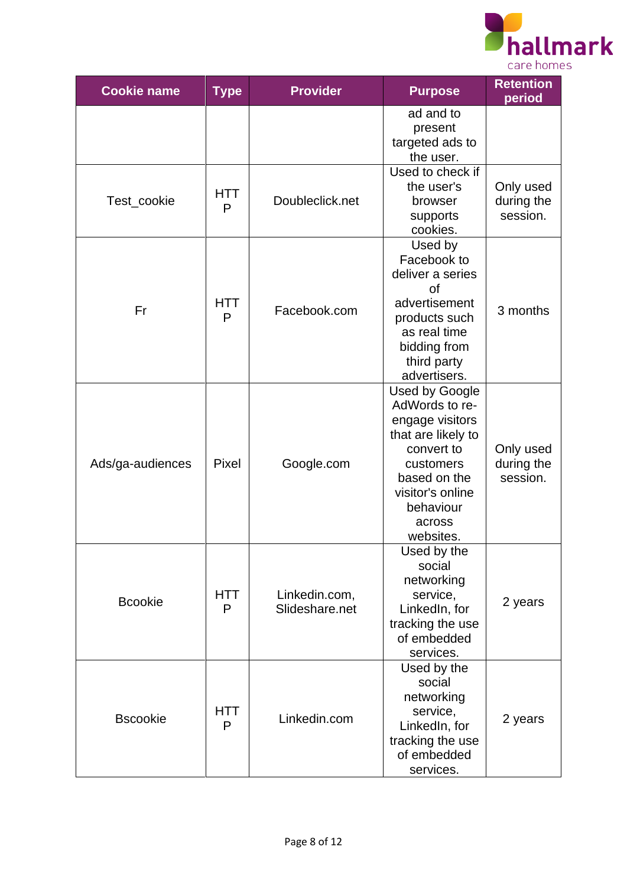

| <b>Cookie name</b> | <b>Type</b>     | <b>Provider</b>                 | <b>Purpose</b>                                                                                                                                                                      | <b>Retention</b><br>period          |
|--------------------|-----------------|---------------------------------|-------------------------------------------------------------------------------------------------------------------------------------------------------------------------------------|-------------------------------------|
|                    |                 |                                 | ad and to<br>present<br>targeted ads to<br>the user.                                                                                                                                |                                     |
| Test_cookie        | HTT<br>P        | Doubleclick.net                 | Used to check if<br>the user's<br>browser<br>supports<br>cookies.                                                                                                                   | Only used<br>during the<br>session. |
| Fr                 | <b>HTT</b><br>P | Facebook.com                    | Used by<br>Facebook to<br>deliver a series<br>of<br>advertisement<br>products such<br>as real time<br>bidding from<br>third party<br>advertisers.                                   | 3 months                            |
| Ads/ga-audiences   | Pixel           | Google.com                      | <b>Used by Google</b><br>AdWords to re-<br>engage visitors<br>that are likely to<br>convert to<br>customers<br>based on the<br>visitor's online<br>behaviour<br>across<br>websites. | Only used<br>during the<br>session. |
| <b>Bcookie</b>     | <b>HTT</b><br>P | Linkedin.com,<br>Slideshare.net | Used by the<br>social<br>networking<br>service,<br>LinkedIn, for<br>tracking the use<br>of embedded<br>services.                                                                    | 2 years                             |
| <b>Bscookie</b>    | <b>HTT</b><br>P | Linkedin.com                    | Used by the<br>social<br>networking<br>service,<br>LinkedIn, for<br>tracking the use<br>of embedded<br>services.                                                                    | 2 years                             |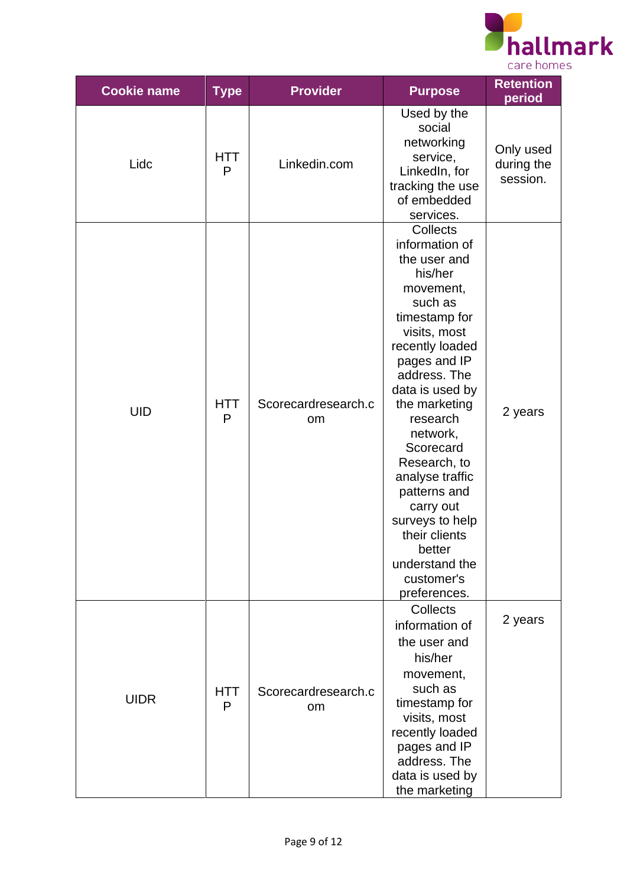

| <b>Cookie name</b> | <b>Type</b>     | <b>Provider</b>                  | <b>Purpose</b>                                                                                                                                                                                                                                                                                                                                                                                                  | <b>Retention</b><br>period          |
|--------------------|-----------------|----------------------------------|-----------------------------------------------------------------------------------------------------------------------------------------------------------------------------------------------------------------------------------------------------------------------------------------------------------------------------------------------------------------------------------------------------------------|-------------------------------------|
| Lidc               | <b>HTT</b><br>P | Linkedin.com                     | Used by the<br>social<br>networking<br>service,<br>LinkedIn, for<br>tracking the use<br>of embedded<br>services.                                                                                                                                                                                                                                                                                                | Only used<br>during the<br>session. |
| <b>UID</b>         | <b>HTT</b><br>P | Scorecardresearch.c<br><b>om</b> | <b>Collects</b><br>information of<br>the user and<br>his/her<br>movement,<br>such as<br>timestamp for<br>visits, most<br>recently loaded<br>pages and IP<br>address. The<br>data is used by<br>the marketing<br>research<br>network,<br>Scorecard<br>Research, to<br>analyse traffic<br>patterns and<br>carry out<br>surveys to help<br>their clients<br>better<br>understand the<br>customer's<br>preferences. | 2 years                             |
| <b>UIDR</b>        | <b>HTT</b><br>P | Scorecardresearch.c<br>om        | <b>Collects</b><br>information of<br>the user and<br>his/her<br>movement,<br>such as<br>timestamp for<br>visits, most<br>recently loaded<br>pages and IP<br>address. The<br>data is used by<br>the marketing                                                                                                                                                                                                    | 2 years                             |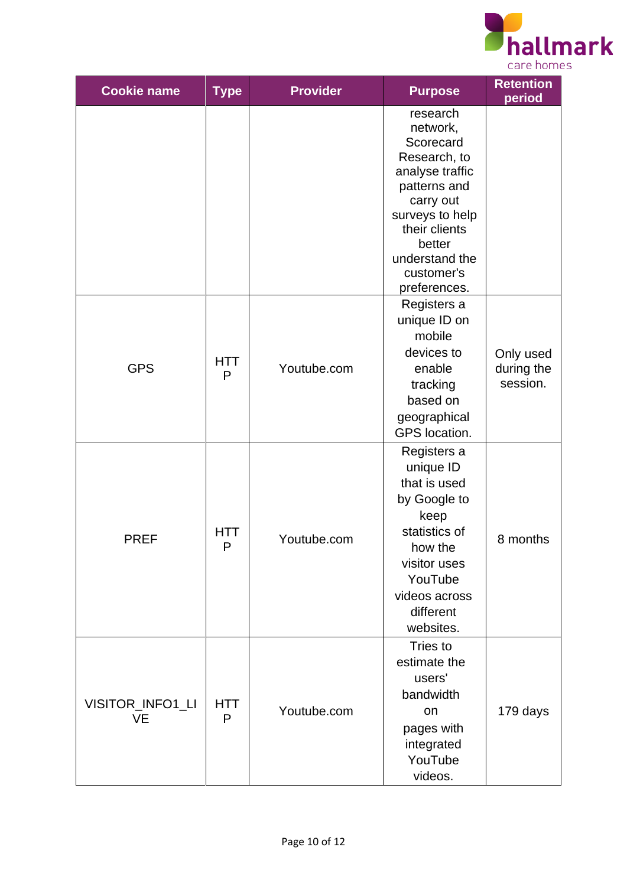

| <b>Cookie name</b>            | <b>Type</b>     | <b>Provider</b> | <b>Purpose</b>                                                                                                                                                                                  | <b>Retention</b><br>period          |
|-------------------------------|-----------------|-----------------|-------------------------------------------------------------------------------------------------------------------------------------------------------------------------------------------------|-------------------------------------|
|                               |                 |                 | research<br>network,<br>Scorecard<br>Research, to<br>analyse traffic<br>patterns and<br>carry out<br>surveys to help<br>their clients<br>better<br>understand the<br>customer's<br>preferences. |                                     |
| <b>GPS</b>                    | <b>HTT</b><br>P | Youtube.com     | Registers a<br>unique ID on<br>mobile<br>devices to<br>enable<br>tracking<br>based on<br>geographical<br>GPS location.                                                                          | Only used<br>during the<br>session. |
| <b>PREF</b>                   | <b>HTT</b><br>P | Youtube.com     | Registers a<br>unique ID<br>that is used<br>by Google to<br>keep<br>statistics of<br>how the<br>visitor uses<br>YouTube<br>videos across<br>different<br>websites.                              | 8 months                            |
| VISITOR_INFO1_LI<br><b>VE</b> | <b>HTT</b><br>P | Youtube.com     | Tries to<br>estimate the<br>users'<br>bandwidth<br>on<br>pages with<br>integrated<br>YouTube<br>videos.                                                                                         | 179 days                            |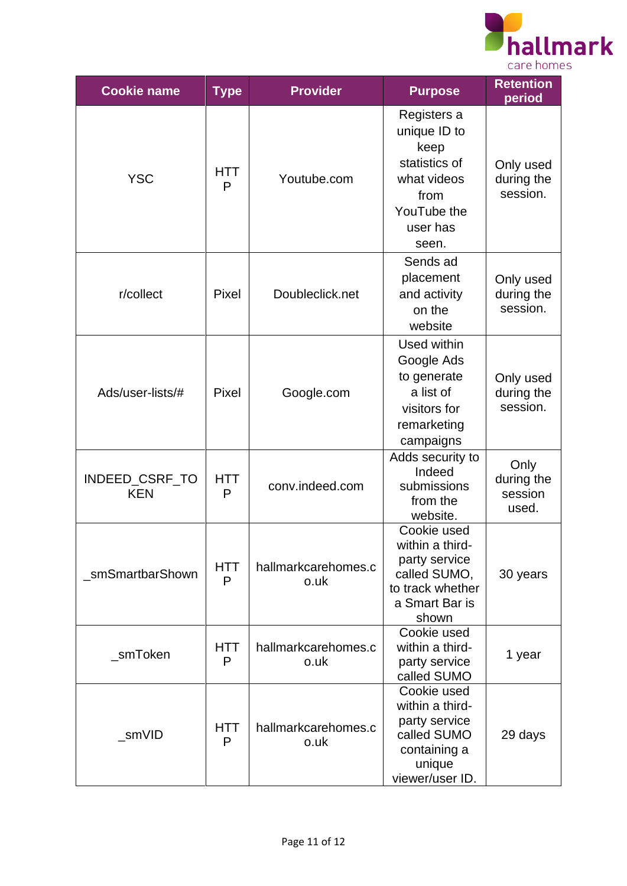

| <b>Cookie name</b>           | <b>Type</b>     | <b>Provider</b>             | <b>Purpose</b>                                                                                                  | <b>Retention</b><br>period             |
|------------------------------|-----------------|-----------------------------|-----------------------------------------------------------------------------------------------------------------|----------------------------------------|
| <b>YSC</b>                   | HTT<br>P        | Youtube.com                 | Registers a<br>unique ID to<br>keep<br>statistics of<br>what videos<br>from<br>YouTube the<br>user has<br>seen. | Only used<br>during the<br>session.    |
| r/collect                    | Pixel           | Doubleclick.net             | Sends ad<br>placement<br>and activity<br>on the<br>website                                                      | Only used<br>during the<br>session.    |
| Ads/user-lists/#             | Pixel           | Google.com                  | Used within<br>Google Ads<br>to generate<br>a list of<br>visitors for<br>remarketing<br>campaigns               | Only used<br>during the<br>session.    |
| INDEED_CSRF_TO<br><b>KEN</b> | <b>HTT</b><br>P | conv.indeed.com             | Adds security to<br>Indeed<br>submissions<br>from the<br>website.                                               | Only<br>during the<br>session<br>used. |
| smSmartbarShown              | <b>HTT</b><br>P | hallmarkcarehomes.c<br>o.uk | Cookie used<br>within a third-<br>party service<br>called SUMO,<br>to track whether<br>a Smart Bar is<br>shown  | 30 years                               |
| _smToken                     | <b>HTT</b><br>P | hallmarkcarehomes.c<br>o.uk | Cookie used<br>within a third-<br>party service<br>called SUMO                                                  | 1 year                                 |
| smVID                        | <b>HTT</b><br>P | hallmarkcarehomes.c<br>o.uk | Cookie used<br>within a third-<br>party service<br>called SUMO<br>containing a<br>unique<br>viewer/user ID.     | 29 days                                |